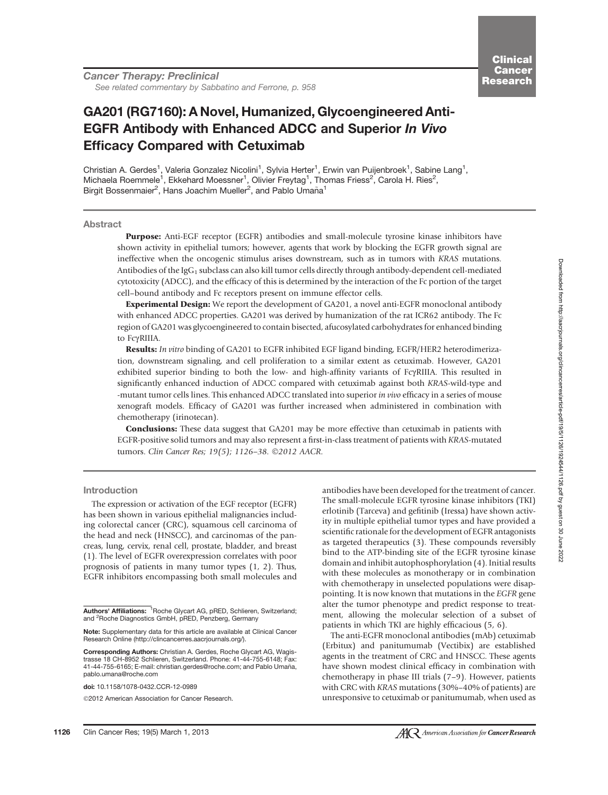Cancer Therapy: Preclinical See related commentary by Sabbatino and Ferrone, p. 958

# GA201 (RG7160): A Novel, Humanized, Glycoengineered Anti-EGFR Antibody with Enhanced ADCC and Superior In Vivo Efficacy Compared with Cetuximab

Christian A. Gerdes<sup>1</sup>, Valeria Gonzalez Nicolini<sup>1</sup>, Sylvia Herter<sup>1</sup>, Erwin van Puijenbroek<sup>1</sup>, Sabine Lang<sup>1</sup>, Michaela Roemmele<sup>1</sup>, Ekkehard Moessner<sup>1</sup>, Olivier Freytag<sup>1</sup>, Thomas Friess<sup>2</sup>, Carola H. Ries<sup>2</sup>, Birgit Bossenmaier<sup>2</sup>, Hans Joachim Mueller<sup>2</sup>, and Pablo Umaña<sup>1</sup>

#### Abstract

Purpose: Anti-EGF receptor (EGFR) antibodies and small-molecule tyrosine kinase inhibitors have shown activity in epithelial tumors; however, agents that work by blocking the EGFR growth signal are ineffective when the oncogenic stimulus arises downstream, such as in tumors with KRAS mutations. Antibodies of the IgG<sub>1</sub> subclass can also kill tumor cells directly through antibody-dependent cell-mediated cytotoxicity (ADCC), and the efficacy of this is determined by the interaction of the Fc portion of the target cell–bound antibody and Fc receptors present on immune effector cells.

Experimental Design: We report the development of GA201, a novel anti-EGFR monoclonal antibody with enhanced ADCC properties. GA201 was derived by humanization of the rat ICR62 antibody. The Fc region of GA201 was glycoengineered to contain bisected, afucosylated carbohydrates for enhanced binding to FcgRIIIA.

Results: In vitro binding of GA201 to EGFR inhibited EGF ligand binding, EGFR/HER2 heterodimerization, downstream signaling, and cell proliferation to a similar extent as cetuximab. However, GA201 exhibited superior binding to both the low- and high-affinity variants of FcgRIIIA. This resulted in significantly enhanced induction of ADCC compared with cetuximab against both KRAS-wild-type and -mutant tumor cells lines. This enhanced ADCC translated into superior in vivo efficacy in a series of mouse xenograft models. Efficacy of GA201 was further increased when administered in combination with chemotherapy (irinotecan).

**Conclusions:** These data suggest that GA201 may be more effective than cetuximab in patients with EGFR-positive solid tumors and may also represent a first-in-class treatment of patients with KRAS-mutated tumors. Clin Cancer Res; 19(5); 1126–38. ©2012 AACR.

Introduction

The expression or activation of the EGF receptor (EGFR) has been shown in various epithelial malignancies including colorectal cancer (CRC), squamous cell carcinoma of the head and neck (HNSCC), and carcinomas of the pancreas, lung, cervix, renal cell, prostate, bladder, and breast (1). The level of EGFR overexpression correlates with poor prognosis of patients in many tumor types (1, 2). Thus, EGFR inhibitors encompassing both small molecules and

doi: 10.1158/1078-0432.CCR-12-0989

2012 American Association for Cancer Research.

antibodies have been developed for the treatment of cancer. The small-molecule EGFR tyrosine kinase inhibitors (TKI) erlotinib (Tarceva) and gefitinib (Iressa) have shown activity in multiple epithelial tumor types and have provided a scientific rationale for the development of EGFR antagonists as targeted therapeutics (3). These compounds reversibly bind to the ATP-binding site of the EGFR tyrosine kinase domain and inhibit autophosphorylation (4). Initial results with these molecules as monotherapy or in combination with chemotherapy in unselected populations were disappointing. It is now known that mutations in the EGFR gene alter the tumor phenotype and predict response to treatment, allowing the molecular selection of a subset of patients in which TKI are highly efficacious (5, 6).

The anti-EGFR monoclonal antibodies (mAb) cetuximab (Erbitux) and panitumumab (Vectibix) are established agents in the treatment of CRC and HNSCC. These agents have shown modest clinical efficacy in combination with chemotherapy in phase III trials (7–9). However, patients with CRC with KRAS mutations (30%–40% of patients) are unresponsive to cetuximab or panitumumab, when used as

Authors' Affiliations: <sup>1</sup>Roche Glycart AG, pRED, Schlieren, Switzerland; and <sup>2</sup> Roche Diagnostics GmbH, pRED, Penzberg, Germany

Note: Supplementary data for this article are available at Clinical Cancer Research Online (http://clincancerres.aacrjournals.org/).

Corresponding Authors: Christian A. Gerdes, Roche Glycart AG, Wagistrasse 18 CH-8952 Schlieren, Switzerland. Phone: 41-44-755-6148; Fax: 41-44-755-6165; E-mail: christian.gerdes@roche.com; and Pablo Umaña, pablo.umana@roche.com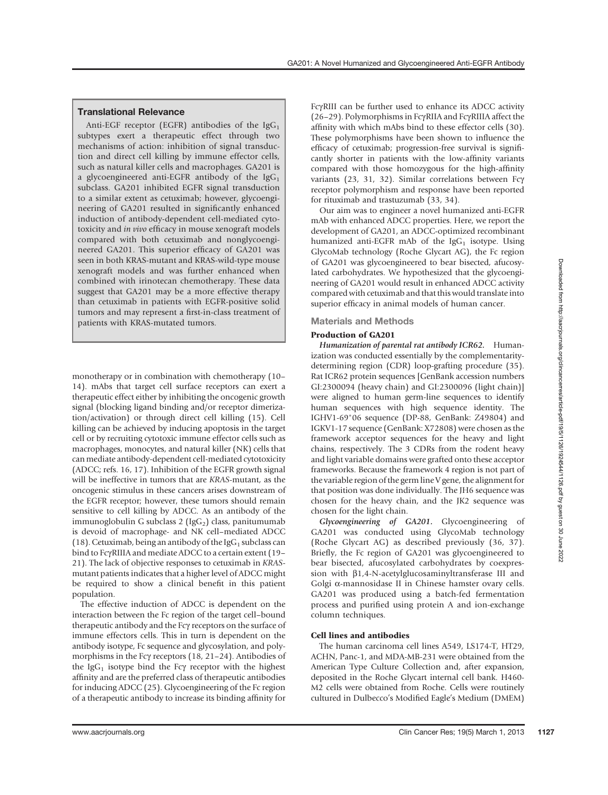# Translational Relevance

Anti-EGF receptor (EGFR) antibodies of the  $\lg G_1$ subtypes exert a therapeutic effect through two mechanisms of action: inhibition of signal transduction and direct cell killing by immune effector cells, such as natural killer cells and macrophages. GA201 is a glycoengineered anti-EGFR antibody of the  $\lg G_1$ subclass. GA201 inhibited EGFR signal transduction to a similar extent as cetuximab; however, glycoengineering of GA201 resulted in significantly enhanced induction of antibody-dependent cell-mediated cytotoxicity and in vivo efficacy in mouse xenograft models compared with both cetuximab and nonglycoengineered GA201. This superior efficacy of GA201 was seen in both KRAS-mutant and KRAS-wild-type mouse xenograft models and was further enhanced when combined with irinotecan chemotherapy. These data suggest that GA201 may be a more effective therapy than cetuximab in patients with EGFR-positive solid tumors and may represent a first-in-class treatment of patients with KRAS-mutated tumors.

monotherapy or in combination with chemotherapy (10– 14). mAbs that target cell surface receptors can exert a therapeutic effect either by inhibiting the oncogenic growth signal (blocking ligand binding and/or receptor dimerization/activation) or through direct cell killing (15). Cell killing can be achieved by inducing apoptosis in the target cell or by recruiting cytotoxic immune effector cells such as macrophages, monocytes, and natural killer (NK) cells that can mediate antibody-dependent cell-mediated cytotoxicity (ADCC; refs. 16, 17). Inhibition of the EGFR growth signal will be ineffective in tumors that are KRAS-mutant, as the oncogenic stimulus in these cancers arises downstream of the EGFR receptor; however, these tumors should remain sensitive to cell killing by ADCC. As an antibody of the immunoglobulin G subclass  $2$  (IgG<sub>2</sub>) class, panitumumab is devoid of macrophage- and NK cell–mediated ADCC (18). Cetuximab, being an antibody of the IgG<sub>1</sub> subclass can bind to FcyRIIIA and mediate ADCC to a certain extent (19– 21). The lack of objective responses to cetuximab in KRASmutant patients indicates that a higher level of ADCC might be required to show a clinical benefit in this patient population.

The effective induction of ADCC is dependent on the interaction between the Fc region of the target cell–bound therapeutic antibody and the Fcy receptors on the surface of immune effectors cells. This in turn is dependent on the antibody isotype, Fc sequence and glycosylation, and polymorphisms in the Fcγ receptors (18, 21–24). Antibodies of the IgG<sub>1</sub> isotype bind the Fc $\gamma$  receptor with the highest affinity and are the preferred class of therapeutic antibodies for inducing ADCC (25). Glycoengineering of the Fc region of a therapeutic antibody to increase its binding affinity for

FcyRIII can be further used to enhance its ADCC activity (26–29). Polymorphisms in FcyRIIA and FcyRIIA affect the (26–29). Polymorphisms in FcgRIIA and FcgRIIIA affect the affinity with which mAbs bind to these effector cells (30). These polymorphisms have been shown to influence the efficacy of cetuximab; progression-free survival is significantly shorter in patients with the low-affinity variants compared with those homozygous for the high-affinity variants (23, 31, 32). Similar correlations between Fcy receptor polymorphism and response have been reported for rituximab and trastuzumab (33, 34).

Our aim was to engineer a novel humanized anti-EGFR mAb with enhanced ADCC properties. Here, we report the development of GA201, an ADCC-optimized recombinant humanized anti-EGFR mAb of the  $\lg G_1$  isotype. Using GlycoMab technology (Roche Glycart AG), the Fc region of GA201 was glycoengineered to bear bisected, afucosylated carbohydrates. We hypothesized that the glycoengineering of GA201 would result in enhanced ADCC activity compared with cetuximab and that this would translate into superior efficacy in animal models of human cancer.

## Materials and Methods

## Production of GA201

Humanization of parental rat antibody ICR62. Humanization was conducted essentially by the complementaritydetermining region (CDR) loop-grafting procedure (35). Rat ICR62 protein sequences [GenBank accession numbers GI:2300094 (heavy chain) and GI:2300096 (light chain)] were aligned to human germ-line sequences to identify human sequences with high sequence identity. The IGHV1-69\*06 sequence (DP-88, GenBank: Z49804) and IGKV1-17 sequence (GenBank: X72808) were chosen as the framework acceptor sequences for the heavy and light chains, respectively. The 3 CDRs from the rodent heavy and light variable domains were grafted onto these acceptor frameworks. Because the framework 4 region is not part of the variable region of the germ line V gene, the alignment for that position was done individually. The JH6 sequence was chosen for the heavy chain, and the JK2 sequence was chosen for the light chain.

Glycoengineering of GA201. Glycoengineering of GA201 was conducted using GlycoMab technology (Roche Glycart AG) as described previously (36, 37). Briefly, the Fc region of GA201 was glycoengineered to bear bisected, afucosylated carbohydrates by coexpression with  $\beta$ 1,4-N-acetylglucosaminyltransferase III and Golgi a-mannosidase II in Chinese hamster ovary cells. GA201 was produced using a batch-fed fermentation process and purified using protein A and ion-exchange column techniques.

## Cell lines and antibodies

The human carcinoma cell lines A549, LS174-T, HT29, ACHN, Panc-1, and MDA-MB-231 were obtained from the American Type Culture Collection and, after expansion, deposited in the Roche Glycart internal cell bank. H460- M2 cells were obtained from Roche. Cells were routinely cultured in Dulbecco's Modified Eagle's Medium (DMEM)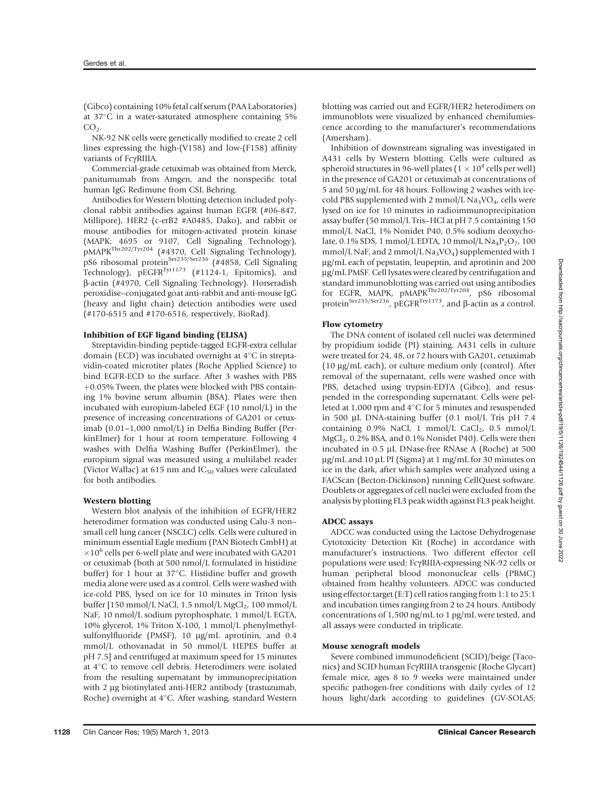(Gibco) containing 10% fetal calf serum (PAA Laboratories) at 37°C in a water-saturated atmosphere containing 5%  $CO<sub>2</sub>$ .

NK-92 NK cells were genetically modified to create 2 cell lines expressing the high-(V158) and low-(F158) affinity variants of FcgRIIIA.

Commercial-grade cetuximab was obtained from Merck, panitumumab from Amgen, and the nonspecific total human IgG Redimune from CSL Behring.

Antibodies for Western blotting detection included polyclonal rabbit antibodies against human EGFR (#06-847, Millipore), HER2 (c-erB2 #A0485, Dako), and rabbit or mouse antibodies for mitogen-activated protein kinase (MAPK; 4695 or 9107, Cell Signaling Technology), pMAPKThr202/Tyr204 (#4370, Cell Signaling Technology), pS6 ribosomal protein<sup>Ser235/Ser236</sup> (#4858, Cell Signaling Technology),  $\vec{p}$ EGFR<sup>Tyr1173</sup> (#1124-1, Epitomics), and b-actin (#4970, Cell Signaling Technology). Horseradish peroxidise–conjugated goat anti-rabbit and anti-mouse IgG (heavy and light chain) detection antibodies were used (#170-6515 and #170-6516, respectively, BioRad).

#### Inhibition of EGF ligand binding (ELISA)

Streptavidin-binding peptide-tagged EGFR-extra cellular domain (ECD) was incubated overnight at  $4^{\circ}$ C in streptavidin-coated microtiter plates (Roche Applied Science) to bind EGFR-ECD to the surface. After 3 washes with PBS  $+0.05\%$  Tween, the plates were blocked with PBS containing 1% bovine serum albumin (BSA). Plates were then incubated with europium-labeled EGF (10 nmol/L) in the presence of increasing concentrations of GA201 or cetuximab (0.01–1,000 nmol/L) in Delfia Binding Buffer (PerkinElmer) for 1 hour at room temperature. Following 4 washes with Delfia Washing Buffer (PerkinElmer), the europium signal was measured using a multilabel reader (Victor Wallac) at 615 nm and  $IC_{50}$  values were calculated for both antibodies.

#### Western blotting

Western blot analysis of the inhibition of EGFR/HER2 heterodimer formation was conducted using Calu-3 non– small cell lung cancer (NSCLC) cells. Cells were cultured in minimum essential Eagle medium (PAN Biotech GmbH) at  $\times$ 10<sup>6</sup> cells per 6-well plate and were incubated with GA201 or cetuximab (both at 500 nmol/L formulated in histidine buffer) for 1 hour at  $37^{\circ}$ C. Histidine buffer and growth media alone were used as a control. Cells were washed with ice-cold PBS, lysed on ice for 10 minutes in Triton lysis buffer  $[150 \text{ mmol/L NaCl}, 1.5 \text{ mmol/L MgCl}_2, 100 \text{ mmol/L}$ NaF, 10 nmol/L sodium pyrophosphate, 1 mmol/L EGTA, 10% glycerol, 1% Triton X-100, 1 mmol/L phenylmethylsulfonylfluoride (PMSF),  $10 \mu g/mL$  aprotinin, and 0.4 mmol/L othovanadat in 50 mmol/L HEPES buffer at pH 7.5] and centrifuged at maximum speed for 15 minutes at 4°C to remove cell debris. Heterodimers were isolated from the resulting supernatant by immunoprecipitation with 2 µg biotinylated anti-HER2 antibody (trastuzumab, Roche) overnight at 4°C. After washing, standard Western

Inhibition of downstream signaling was investigated in A431 cells by Western blotting. Cells were cultured as spheroid structures in 96-well plates ( $1 \times 10^4$  cells per well) in the presence of GA201 or cetuximab at concentrations of  $5$  and  $50 \mu g/mL$  for 48 hours. Following 2 washes with icecold PBS supplemented with 2 mmol/L  $Na<sub>3</sub>VO<sub>4</sub>$ , cells were lysed on ice for 10 minutes in radioimmunoprecipitation assay buffer (50 mmol/L Tris–HCl at pH 7.5 containing 150 mmol/L NaCl, 1% Nonidet P40, 0.5% sodium deoxycholate, 0.1% SDS, 1 mmol/L EDTA, 10 mmol/L  $Na_4P_2O_7$ , 100 mmol/L NaF, and 2 mmol/L Na<sub>3</sub>VO<sub>4</sub>) supplemented with 1 mg/mL each of pepstatin, leupeptin, and aprotinin and 200 mg/mL PMSF. Cell lysates were cleared by centrifugation and standard immunoblotting was carried out using antibodies for EGFR, MAPK, pMAPKThr202/Tyr204, pS6 ribosomal protein<sup>Ser235/Ser236</sup>, pEGFR<sup>Try1173</sup>, and  $\beta$ -actin as a control.

#### Flow cytometry

The DNA content of isolated cell nuclei was determined by propidium iodide (PI) staining. A431 cells in culture were treated for 24, 48, or 72 hours with GA201, cetuximab (10  $\mu$ g/mL each), or culture medium only (control). After removal of the supernatant, cells were washed once with PBS, detached using trypsin-EDTA (Gibco), and resuspended in the corresponding supernatant. Cells were pelleted at 1,000 rpm and  $4^{\circ}$ C for 5 minutes and resuspended in 500 µL DNA-staining buffer (0.1 mol/L Tris pH 7.4 containing  $0.9\%$  NaCl, 1 mmol/L CaCl<sub>2</sub>,  $0.5$  mmol/L  $MgCl<sub>2</sub>$ , 0.2% BSA, and 0.1% Nonidet P40). Cells were then incubated in 0.5 µL DNase-free RNAse A (Roche) at 500 μg/mL and 10 μL PI (Sigma) at 1 mg/mL for 30 minutes on ice in the dark, after which samples were analyzed using a FACScan (Becton-Dickinson) running CellQuest software. Doublets or aggregates of cell nuclei were excluded from the analysis by plotting FL3 peak width against FL3 peak height.

## ADCC assays

ADCC was conducted using the Lactose Dehydrogenase Cytotoxicity Detection Kit (Roche) in accordance with manufacturer's instructions. Two different effector cell populations were used: FcgRIIIA-expressing NK-92 cells or human peripheral blood mononuclear cells (PBMC) obtained from healthy volunteers. ADCC was conducted using effector:target (E:T) cell ratios ranging from 1:1 to 25:1 and incubation times ranging from 2 to 24 hours. Antibody concentrations of 1,500 ng/mL to 1 pg/mL were tested, and all assays were conducted in triplicate.

#### Mouse xenograft models

Severe combined immunodeficient (SCID)/beige (Taconics) and SCID human FcgRIIIA transgenic (Roche Glycart) female mice, ages 8 to 9 weeks were maintained under specific pathogen-free conditions with daily cycles of 12 hours light/dark according to guidelines (GV-SOLAS;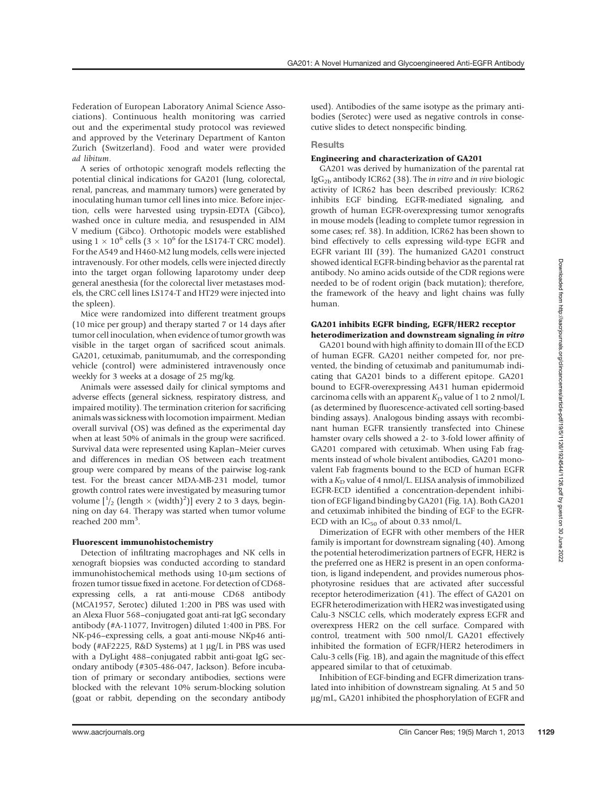Federation of European Laboratory Animal Science Associations). Continuous health monitoring was carried out and the experimental study protocol was reviewed and approved by the Veterinary Department of Kanton Zurich (Switzerland). Food and water were provided ad libitum.

A series of orthotopic xenograft models reflecting the potential clinical indications for GA201 (lung, colorectal, renal, pancreas, and mammary tumors) were generated by inoculating human tumor cell lines into mice. Before injection, cells were harvested using trypsin-EDTA (Gibco), washed once in culture media, and resuspended in AIM V medium (Gibco). Orthotopic models were established using  $1 \times 10^6$  cells  $(3 \times 10^6$  for the LS174-T CRC model). For the A549 and H460-M2 lung models, cells were injected intravenously. For other models, cells were injected directly into the target organ following laparotomy under deep general anesthesia (for the colorectal liver metastases models, the CRC cell lines LS174-T and HT29 were injected into the spleen).

Mice were randomized into different treatment groups (10 mice per group) and therapy started 7 or 14 days after tumor cell inoculation, when evidence of tumor growth was visible in the target organ of sacrificed scout animals. GA201, cetuximab, panitumumab, and the corresponding vehicle (control) were administered intravenously once weekly for 3 weeks at a dosage of 25 mg/kg.

Animals were assessed daily for clinical symptoms and adverse effects (general sickness, respiratory distress, and impaired motility). The termination criterion for sacrificing animals was sickness with locomotion impairment. Median overall survival (OS) was defined as the experimental day when at least 50% of animals in the group were sacrificed. Survival data were represented using Kaplan–Meier curves and differences in median OS between each treatment group were compared by means of the pairwise log-rank test. For the breast cancer MDA-MB-231 model, tumor growth control rates were investigated by measuring tumor volume  $\left[\frac{1}{2}$  (length  $\times$  (width)<sup>2</sup>)] every 2 to 3 days, beginning on day 64. Therapy was started when tumor volume reached 200 mm<sup>3</sup>.

#### Fluorescent immunohistochemistry

Detection of infiltrating macrophages and NK cells in xenograft biopsies was conducted according to standard immunohistochemical methods using 10-um sections of frozen tumor tissue fixed in acetone. For detection of CD68 expressing cells, a rat anti-mouse CD68 antibody (MCA1957, Serotec) diluted 1:200 in PBS was used with an Alexa Fluor 568–conjugated goat anti-rat IgG secondary antibody (#A-11077, Invitrogen) diluted 1:400 in PBS. For NK-p46–expressing cells, a goat anti-mouse NKp46 antibody (#AF2225, R&D Systems) at 1 µg/L in PBS was used with a DyLight 488–conjugated rabbit anti-goat IgG secondary antibody (#305-486-047, Jackson). Before incubation of primary or secondary antibodies, sections were blocked with the relevant 10% serum-blocking solution (goat or rabbit, depending on the secondary antibody

used). Antibodies of the same isotype as the primary antibodies (Serotec) were used as negative controls in consecutive slides to detect nonspecific binding.

## **Results**

## Engineering and characterization of GA201

GA201 was derived by humanization of the parental rat Ig $G_{2b}$  antibody ICR62 (38). The in vitro and in vivo biologic activity of ICR62 has been described previously: ICR62 inhibits EGF binding, EGFR-mediated signaling, and growth of human EGFR-overexpressing tumor xenografts in mouse models (leading to complete tumor regression in some cases; ref. 38). In addition, ICR62 has been shown to bind effectively to cells expressing wild-type EGFR and EGFR variant III (39). The humanized GA201 construct showed identical EGFR-binding behavior as the parental rat antibody. No amino acids outside of the CDR regions were needed to be of rodent origin (back mutation); therefore, the framework of the heavy and light chains was fully human.

## GA201 inhibits EGFR binding, EGFR/HER2 receptor heterodimerization and downstream signaling in vitro

GA201 bound with high affinity to domain III of the ECD of human EGFR. GA201 neither competed for, nor prevented, the binding of cetuximab and panitumumab indicating that GA201 binds to a different epitope. GA201 bound to EGFR-overexpressing A431 human epidermoid carcinoma cells with an apparent  $K_D$  value of 1 to 2 nmol/L (as determined by fluorescence-activated cell sorting-based binding assays). Analogous binding assays with recombinant human EGFR transiently transfected into Chinese hamster ovary cells showed a 2- to 3-fold lower affinity of GA201 compared with cetuximab. When using Fab fragments instead of whole bivalent antibodies, GA201 monovalent Fab fragments bound to the ECD of human EGFR with a  $K_D$  value of 4 nmol/L. ELISA analysis of immobilized EGFR-ECD identified a concentration-dependent inhibition of EGF ligand binding by GA201 (Fig. 1A). Both GA201 and cetuximab inhibited the binding of EGF to the EGFR-ECD with an  $IC_{50}$  of about 0.33 nmol/L.

Dimerization of EGFR with other members of the HER family is important for downstream signaling (40). Among the potential heterodimerization partners of EGFR, HER2 is the preferred one as HER2 is present in an open conformation, is ligand independent, and provides numerous phosphotyrosine residues that are activated after successful receptor heterodimerization (41). The effect of GA201 on EGFR heterodimerization with HER2 was investigated using Calu-3 NSCLC cells, which moderately express EGFR and overexpress HER2 on the cell surface. Compared with control, treatment with 500 nmol/L GA201 effectively inhibited the formation of EGFR/HER2 heterodimers in Calu-3 cells (Fig. 1B), and again the magnitude of this effect appeared similar to that of cetuximab.

Inhibition of EGF-binding and EGFR dimerization translated into inhibition of downstream signaling. At 5 and 50 mg/mL, GA201 inhibited the phosphorylation of EGFR and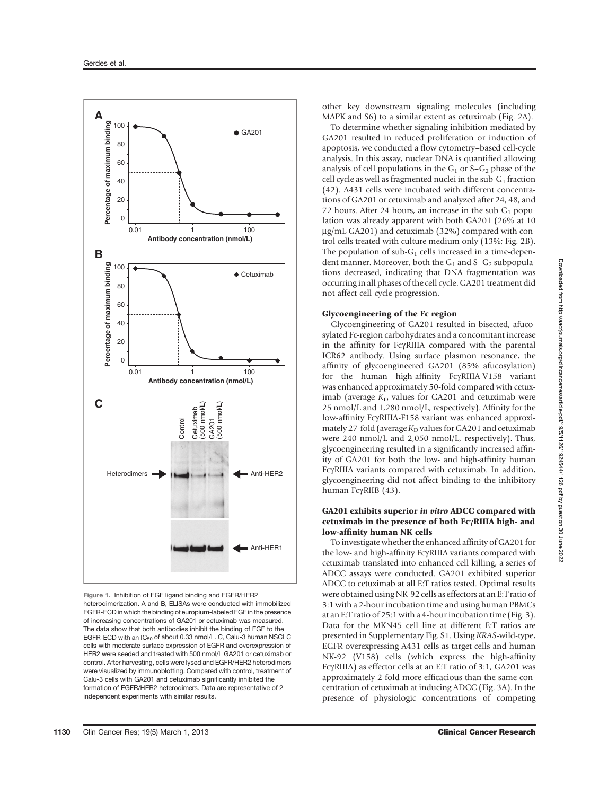

Figure 1. Inhibition of EGF ligand binding and EGFR/HER2 heterodimerization. A and B, ELISAs were conducted with immobilized EGFR-ECD in which the binding of europium-labeled EGF in the presence of increasing concentrations of GA201 or cetuximab was measured. The data show that both antibodies inhibit the binding of EGF to the EGFR-ECD with an IC<sub>50</sub> of about 0.33 nmol/L. C, Calu-3 human NSCLC cells with moderate surface expression of EGFR and overexpression of HER2 were seeded and treated with 500 nmol/L GA201 or cetuximab or control. After harvesting, cells were lysed and EGFR/HER2 heterodimers were visualized by immunoblotting. Compared with control, treatment of Calu-3 cells with GA201 and cetuximab significantly inhibited the formation of EGFR/HER2 heterodimers. Data are representative of 2 independent experiments with similar results.

other key downstream signaling molecules (including MAPK and S6) to a similar extent as cetuximab (Fig. 2A).

To determine whether signaling inhibition mediated by GA201 resulted in reduced proliferation or induction of apoptosis, we conducted a flow cytometry–based cell-cycle analysis. In this assay, nuclear DNA is quantified allowing analysis of cell populations in the  $G_1$  or  $S-G_2$  phase of the cell cycle as well as fragmented nuclei in the sub- $G_1$  fraction (42). A431 cells were incubated with different concentrations of GA201 or cetuximab and analyzed after 24, 48, and 72 hours. After 24 hours, an increase in the sub- $G_1$  population was already apparent with both GA201 (26% at 10 µg/mL GA201) and cetuximab (32%) compared with control cells treated with culture medium only (13%; Fig. 2B). The population of sub- $G_1$  cells increased in a time-dependent manner. Moreover, both the  $G_1$  and  $S-G_2$  subpopulations decreased, indicating that DNA fragmentation was occurring in all phases of the cell cycle. GA201 treatment did not affect cell-cycle progression.

## Glycoengineering of the Fc region

Glycoengineering of GA201 resulted in bisected, afucosylated Fc-region carbohydrates and a concomitant increase in the affinity for FcgRIIIA compared with the parental ICR62 antibody. Using surface plasmon resonance, the affinity of glycoengineered GA201 (85% afucosylation) for the human high-affinity FcgRIIIA-V158 variant was enhanced approximately 50-fold compared with cetuximab (average  $K_D$  values for GA201 and cetuximab were 25 nmol/L and 1,280 nmol/L, respectively). Affinity for the low-affinity FcgRIIIA-F158 variant was enhanced approximately 27-fold (average  $K_D$  values for GA201 and cetuximab were 240 nmol/L and 2,050 nmol/L, respectively). Thus, glycoengineering resulted in a significantly increased affinity of GA201 for both the low- and high-affinity human FcgRIIIA variants compared with cetuximab. In addition, glycoengineering did not affect binding to the inhibitory human FcγRIIB (43).

## GA201 exhibits superior in vitro ADCC compared with cetuximab in the presence of both Fc / RIIIA high- and low-affinity human NK cells

To investigate whether the enhanced affinity of GA201 for the low- and high-affinity FcgRIIIA variants compared with cetuximab translated into enhanced cell killing, a series of ADCC assays were conducted. GA201 exhibited superior ADCC to cetuximab at all E:T ratios tested. Optimal results were obtained using NK-92 cells as effectors at an E:T ratio of 3:1 with a 2-hour incubation time and using human PBMCs at an E:T ratio of 25:1 with a 4-hour incubation time (Fig. 3). Data for the MKN45 cell line at different E:T ratios are presented in Supplementary Fig. S1. Using KRAS-wild-type, EGFR-overexpressing A431 cells as target cells and human NK-92 (V158) cells (which express the high-affinity FcgRIIIA) as effector cells at an E:T ratio of 3:1, GA201 was approximately 2-fold more efficacious than the same concentration of cetuximab at inducing ADCC (Fig. 3A). In the presence of physiologic concentrations of competing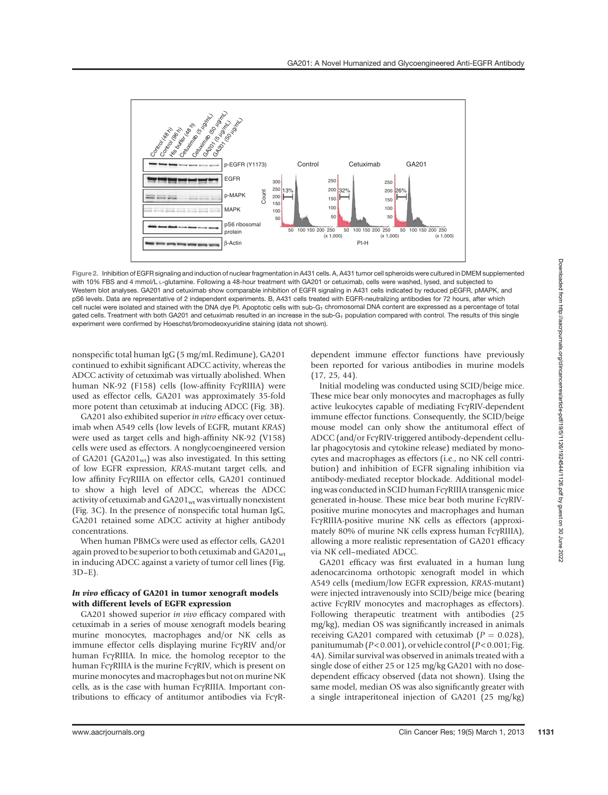

Figure 2. Inhibition of EGFR signaling and induction of nuclear fragmentation in A431 cells. A, A431 tumor cell spheroids were cultured in DMEM supplemented with 10% FBS and 4 mmol/L<sub>L</sub>-glutamine. Following a 48-hour treatment with GA201 or cetuximab, cells were washed, lysed, and subjected to Western blot analyses. GA201 and cetuximab show comparable inhibition of EGFR signaling in A431 cells indicated by reduced pEGFR, pMAPK, and pS6 levels. Data are representative of 2 independent experiments. B, A431 cells treated with EGFR-neutralizing antibodies for 72 hours, after which cell nuclei were isolated and stained with the DNA dye PI. Apoptotic cells with sub-G<sub>1</sub> chromosomal DNA content are expressed as a percentage of total gated cells. Treatment with both GA201 and cetuximab resulted in an increase in the sub-G<sub>1</sub> population compared with control. The results of this single experiment were confirmed by Hoeschst/bromodeoxyuridine staining (data not shown).

nonspecific total human IgG (5 mg/mL Redimune), GA201 continued to exhibit significant ADCC activity, whereas the ADCC activity of cetuximab was virtually abolished. When human NK-92 (F158) cells (low-affinity FcyRIIIA) were used as effector cells, GA201 was approximately 35-fold more potent than cetuximab at inducing ADCC (Fig. 3B).

GA201 also exhibited superior in vitro efficacy over cetuximab when A549 cells (low levels of EGFR, mutant KRAS) were used as target cells and high-affinity NK-92 (V158) cells were used as effectors. A nonglycoengineered version of GA201 (GA201 $_{\text{wt}}$ ) was also investigated. In this setting of low EGFR expression, KRAS-mutant target cells, and low affinity FcyRIIIA on effector cells, GA201 continued to show a high level of ADCC, whereas the ADCC activity of cetuximab and  $GA201<sub>wt</sub>$  was virtually nonexistent (Fig. 3C). In the presence of nonspecific total human IgG, GA201 retained some ADCC activity at higher antibody concentrations.

When human PBMCs were used as effector cells, GA201 again proved to be superior to both cetuximab and GA201wt in inducing ADCC against a variety of tumor cell lines (Fig. 3D–E).

## In vivo efficacy of GA201 in tumor xenograft models with different levels of EGFR expression

GA201 showed superior in vivo efficacy compared with cetuximab in a series of mouse xenograft models bearing murine monocytes, macrophages and/or NK cells as immune effector cells displaying murine FcyRIV and/or human FcyRIIIA. In mice, the homolog receptor to the human FcγRIIIA is the murine FcγRIV, which is present on murine monocytes and macrophages but not on murine NK cells, as is the case with human FcgRIIIA. Important contributions to efficacy of antitumor antibodies via FcgR-

dependent immune effector functions have previously been reported for various antibodies in murine models (17, 25, 44).

Initial modeling was conducted using SCID/beige mice. These mice bear only monocytes and macrophages as fully active leukocytes capable of mediating FcyRIV-dependent immune effector functions. Consequently, the SCID/beige mouse model can only show the antitumoral effect of ADCC (and/or FcγRIV-triggered antibody-dependent cellular phagocytosis and cytokine release) mediated by monocytes and macrophages as effectors (i.e., no NK cell contribution) and inhibition of EGFR signaling inhibition via antibody-mediated receptor blockade. Additional modeling was conducted in SCID human FcgRIIIA transgenic mice generated in-house. These mice bear both murine FcγRIVpositive murine monocytes and macrophages and human FcgRIIIA-positive murine NK cells as effectors (approximately 80% of murine NK cells express human FcyRIIIA), allowing a more realistic representation of GA201 efficacy via NK cell–mediated ADCC.

GA201 efficacy was first evaluated in a human lung adenocarcinoma orthotopic xenograft model in which A549 cells (medium/low EGFR expression, KRAS-mutant) were injected intravenously into SCID/beige mice (bearing active FcyRIV monocytes and macrophages as effectors). Following therapeutic treatment with antibodies (25 mg/kg), median OS was significantly increased in animals receiving GA201 compared with cetuximab ( $P = 0.028$ ), panitumumab ( $P < 0.001$ ), or vehicle control ( $P < 0.001$ ; Fig. 4A). Similar survival was observed in animals treated with a single dose of either 25 or 125 mg/kg GA201 with no dosedependent efficacy observed (data not shown). Using the same model, median OS was also significantly greater with a single intraperitoneal injection of GA201 (25 mg/kg)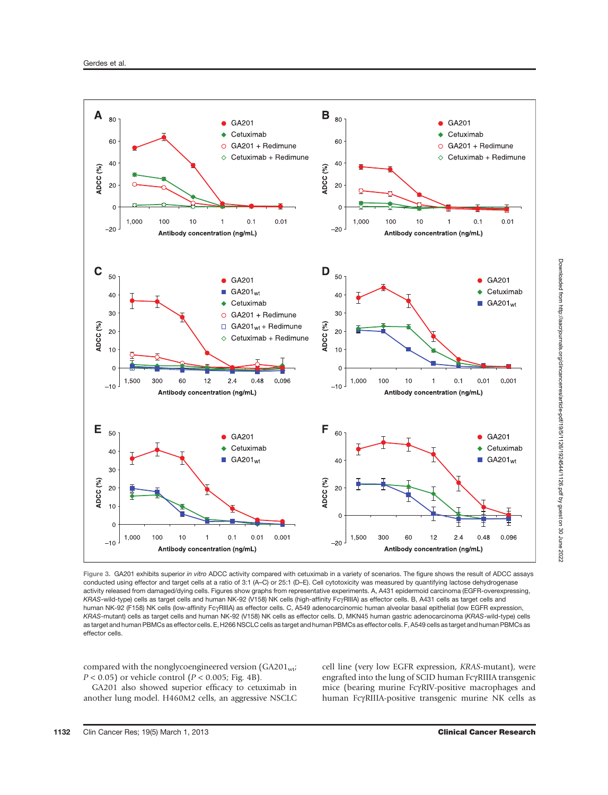

Figure 3. GA201 exhibits superior in vitro ADCC activity compared with cetuximab in a variety of scenarios. The figure shows the result of ADCC assays conducted using effector and target cells at a ratio of 3:1 (A–C) or 25:1 (D–E). Cell cytotoxicity was measured by quantifying lactose dehydrogenase activity released from damaged/dying cells. Figures show graphs from representative experiments. A, A431 epidermoid carcinoma (EGFR-overexpressing, KRAS-wild-type) cells as target cells and human NK-92 (V158) NK cells (high-affinity FcyRIIIA) as effector cells. B, A431 cells as target cells and human NK-92 (F158) NK cells (low-affinity FcyRIIIA) as effector cells. C, A549 adenocarcinomic human alveolar basal epithelial (low EGFR expression, KRAS-mutant) cells as target cells and human NK-92 (V158) NK cells as effector cells. D, MKN45 human gastric adenocarcinoma (KRAS-wild-type) cells as target and human PBMCs as effector cells. E, H266 NSCLC cells as target and human PBMCs as effector cells. F, A549 cells as target and human PBMCs as effector cells.

compared with the nonglycoengineered version  $(GA201_{\text{wt}})$  $P < 0.05$ ) or vehicle control ( $P < 0.005$ ; Fig. 4B).

GA201 also showed superior efficacy to cetuximab in another lung model. H460M2 cells, an aggressive NSCLC cell line (very low EGFR expression, KRAS-mutant), were engrafted into the lung of SCID human FcyRIIIA transgenic mice (bearing murine FcyRIV-positive macrophages and human FcgRIIIA-positive transgenic murine NK cells as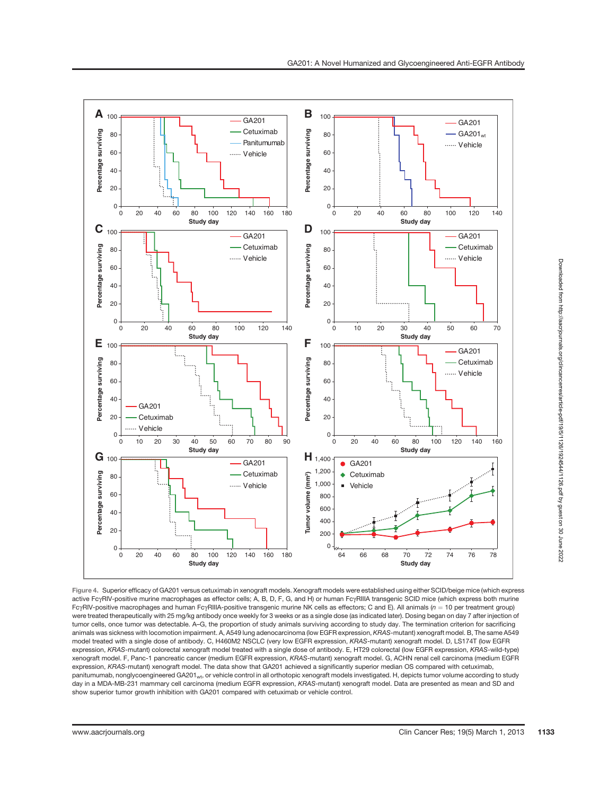

Figure 4. Superior efficacy of GA201 versus cetuximab in xenograft models. Xenograft models were established using either SCID/beige mice (which express active FcyRIV-positive murine macrophages as effector cells; A, B, D, F, G, and H) or human FcyRIIIA transgenic SCID mice (which express both murine  $Fc<sub>Y</sub>RIV-positive macrophages and human  $Fc<sub>Y</sub>RIIIA-positive transgenic murine NK cells as effectors; C and E). All animals ( $n = 10$  per treatment group)$$ were treated therapeutically with 25 mg/kg antibody once weekly for 3 weeks or as a single dose (as indicated later). Dosing began on day 7 after injection of tumor cells, once tumor was detectable. A–G, the proportion of study animals surviving according to study day. The termination criterion for sacrificing animals was sickness with locomotion impairment. A, A549 lung adenocarcinoma (low EGFR expression, KRAS-mutant) xenograft model. B, The same A549 model treated with a single dose of antibody. C, H460M2 NSCLC (very low EGFR expression, KRAS-mutant) xenograft model. D, LS174T (low EGFR expression, KRAS-mutant) colorectal xenograft model treated with a single dose of antibody. E, HT29 colorectal (low EGFR expression, KRAS-wild-type) xenograft model. F, Panc-1 pancreatic cancer (medium EGFR expression, KRAS-mutant) xenograft model. G, ACHN renal cell carcinoma (medium EGFR expression, KRAS-mutant) xenograft model. The data show that GA201 achieved a significantly superior median OS compared with cetuximab, panitumumab, nonglycoengineered GA201wt, or vehicle control in all orthotopic xenograft models investigated. H, depicts tumor volume according to study day in a MDA-MB-231 mammary cell carcinoma (medium EGFR expression, KRAS-mutant) xenograft model. Data are presented as mean and SD and show superior tumor growth inhibition with GA201 compared with cetuximab or vehicle control.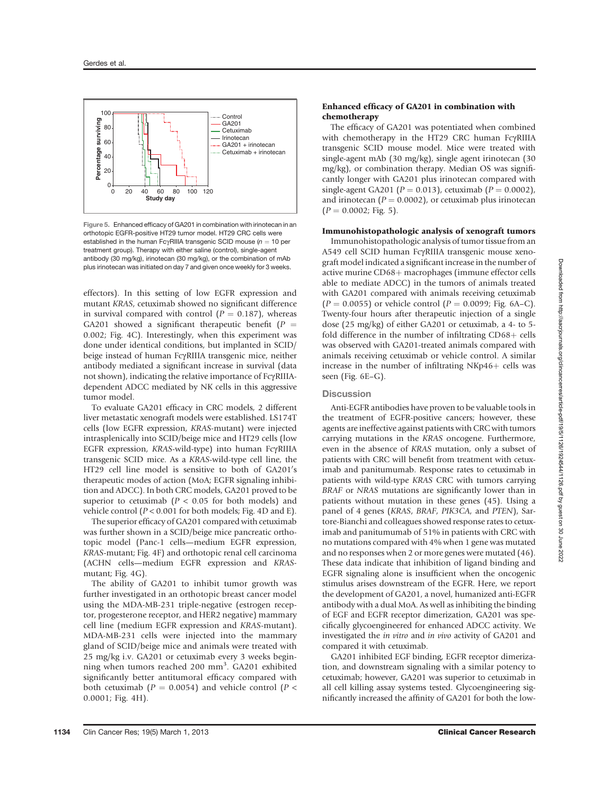

Figure 5. Enhanced efficacy of GA201 in combination with irinotecan in an orthotopic EGFR-positive HT29 tumor model. HT29 CRC cells were established in the human Fc $v$ RIIIA transgenic SCID mouse ( $n = 10$  per treatment group). Therapy with either saline (control), single-agent antibody (30 mg/kg), irinotecan (30 mg/kg), or the combination of mAb plus irinotecan was initiated on day 7 and given once weekly for 3 weeks.

effectors). In this setting of low EGFR expression and mutant KRAS, cetuximab showed no significant difference in survival compared with control  $(P = 0.187)$ , whereas GA201 showed a significant therapeutic benefit  $(P =$ 0.002; Fig. 4C). Interestingly, when this experiment was done under identical conditions, but implanted in SCID/ beige instead of human FcyRIIIA transgenic mice, neither antibody mediated a significant increase in survival (data not shown), indicating the relative importance of FcyRIIIAdependent ADCC mediated by NK cells in this aggressive tumor model.

To evaluate GA201 efficacy in CRC models, 2 different liver metastatic xenograft models were established. LS174T cells (low EGFR expression, KRAS-mutant) were injected intrasplenically into SCID/beige mice and HT29 cells (low EGFR expression, KRAS-wild-type) into human FcγRIIIA transgenic SCID mice. As a KRAS-wild-type cell line, the HT29 cell line model is sensitive to both of GA201's therapeutic modes of action (MoA; EGFR signaling inhibition and ADCC). In both CRC models, GA201 proved to be superior to cetuximab ( $P < 0.05$  for both models) and vehicle control  $(P < 0.001$  for both models; Fig. 4D and E).

The superior efficacy of GA201 compared with cetuximab was further shown in a SCID/beige mice pancreatic orthotopic model (Panc-1 cells—medium EGFR expression, KRAS-mutant; Fig. 4F) and orthotopic renal cell carcinoma (ACHN cells—medium EGFR expression and KRASmutant; Fig. 4G).

The ability of GA201 to inhibit tumor growth was further investigated in an orthotopic breast cancer model using the MDA-MB-231 triple-negative (estrogen receptor, progesterone receptor, and HER2 negative) mammary cell line (medium EGFR expression and KRAS-mutant). MDA-MB-231 cells were injected into the mammary gland of SCID/beige mice and animals were treated with 25 mg/kg i.v. GA201 or cetuximab every 3 weeks beginning when tumors reached 200 mm<sup>3</sup>. GA201 exhibited significantly better antitumoral efficacy compared with both cetuximab ( $P = 0.0054$ ) and vehicle control ( $P <$ 0.0001; Fig. 4H).

### Enhanced efficacy of GA201 in combination with chemotherapy

The efficacy of GA201 was potentiated when combined with chemotherapy in the HT29 CRC human FcyRIIIA transgenic SCID mouse model. Mice were treated with single-agent mAb (30 mg/kg), single agent irinotecan (30 mg/kg), or combination therapy. Median OS was significantly longer with GA201 plus irinotecan compared with single-agent GA201 ( $P = 0.013$ ), cetuximab ( $P = 0.0002$ ), and irinotecan ( $P = 0.0002$ ), or cetuximab plus irinotecan  $(P = 0.0002;$  Fig. 5).

#### Immunohistopathologic analysis of xenograft tumors

Immunohistopathologic analysis of tumor tissue from an A549 cell SCID human FcgRIIIA transgenic mouse xenograft model indicated a significant increase in the number of active murine CD68+ macrophages (immune effector cells able to mediate ADCC) in the tumors of animals treated with GA201 compared with animals receiving cetuximab  $(P = 0.0055)$  or vehicle control  $(P = 0.0099)$ ; Fig. 6A–C). Twenty-four hours after therapeutic injection of a single dose (25 mg/kg) of either GA201 or cetuximab, a 4- to 5 fold difference in the number of infiltrating  $CD68 +$  cells was observed with GA201-treated animals compared with animals receiving cetuximab or vehicle control. A similar increase in the number of infiltrating  $NKp46+$  cells was seen (Fig. 6E–G).

#### **Discussion**

Anti-EGFR antibodies have proven to be valuable tools in the treatment of EGFR-positive cancers; however, these agents are ineffective against patients with CRC with tumors carrying mutations in the KRAS oncogene. Furthermore, even in the absence of KRAS mutation, only a subset of patients with CRC will benefit from treatment with cetuximab and panitumumab. Response rates to cetuximab in patients with wild-type KRAS CRC with tumors carrying BRAF or NRAS mutations are significantly lower than in patients without mutation in these genes (45). Using a panel of 4 genes (KRAS, BRAF, PIK3CA, and PTEN), Sartore-Bianchi and colleagues showed response rates to cetuximab and panitumumab of 51% in patients with CRC with no mutations compared with 4% when 1 gene was mutated and no responses when 2 or more genes were mutated (46). These data indicate that inhibition of ligand binding and EGFR signaling alone is insufficient when the oncogenic stimulus arises downstream of the EGFR. Here, we report the development of GA201, a novel, humanized anti-EGFR antibody with a dual MoA. As well as inhibiting the binding of EGF and EGFR receptor dimerization, GA201 was specifically glycoengineered for enhanced ADCC activity. We investigated the in vitro and in vivo activity of GA201 and compared it with cetuximab.

GA201 inhibited EGF binding, EGFR receptor dimerization, and downstream signaling with a similar potency to cetuximab; however, GA201 was superior to cetuximab in all cell killing assay systems tested. Glycoengineering significantly increased the affinity of GA201 for both the low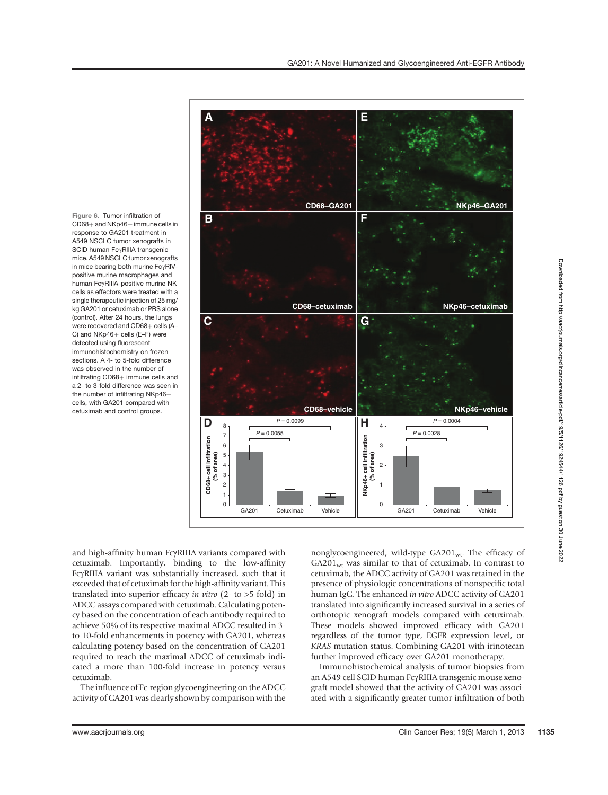Figure 6. Tumor infiltration of  $CD68+$  and NKp46+ immune cells in response to GA201 treatment in A549 NSCLC tumor xenografts in<br>SCID human FcyRIIIA transgenic SCID human FcγRIIIA transgenic<br>mice. A549 NSCLC tumor xenografts in mice bearing both murine FcyRIVpositive murine macrophages and human FcgRIIIA-positive murine NK cells as effectors were treated with a single therapeutic injection of 25 mg/ kg GA201 or cetuximab or PBS alone (control). After 24 hours, the lungs were recovered and CD68+ cells (A-C) and  $NKp46+$  cells  $(E-F)$  were detected using fluorescent immunohistochemistry on frozen sections. A 4- to 5-fold difference was observed in the number of infiltrating  $CD68+$  immune cells and a 2- to 3-fold difference was seen in the number of infiltrating  $NKp46 +$ cells, with GA201 compared with cetuximab and control groups.



and high-affinity human FcyRIIIA variants compared with cetuximab. Importantly, binding to the low-affinity FcgRIIIA variant was substantially increased, such that it exceeded that of cetuximab for the high-affinity variant. This translated into superior efficacy in vitro (2- to >5-fold) in ADCC assays compared with cetuximab. Calculating potency based on the concentration of each antibody required to achieve 50% of its respective maximal ADCC resulted in 3 to 10-fold enhancements in potency with GA201, whereas calculating potency based on the concentration of GA201 required to reach the maximal ADCC of cetuximab indicated a more than 100-fold increase in potency versus

The influence of Fc-region glycoengineering on the ADCC activity of GA201 was clearly shown by comparison with the nonglycoengineered, wild-type GA201<sub>wt</sub>. The efficacy of  $GA201<sub>wt</sub>$  was similar to that of cetuximab. In contrast to cetuximab, the ADCC activity of GA201 was retained in the presence of physiologic concentrations of nonspecific total human IgG. The enhanced in vitro ADCC activity of GA201 translated into significantly increased survival in a series of orthotopic xenograft models compared with cetuximab. These models showed improved efficacy with GA201 regardless of the tumor type, EGFR expression level, or KRAS mutation status. Combining GA201 with irinotecan further improved efficacy over GA201 monotherapy.

Immunohistochemical analysis of tumor biopsies from an A549 cell SCID human FcyRIIIA transgenic mouse xenograft model showed that the activity of GA201 was associated with a significantly greater tumor infiltration of both

cetuximab.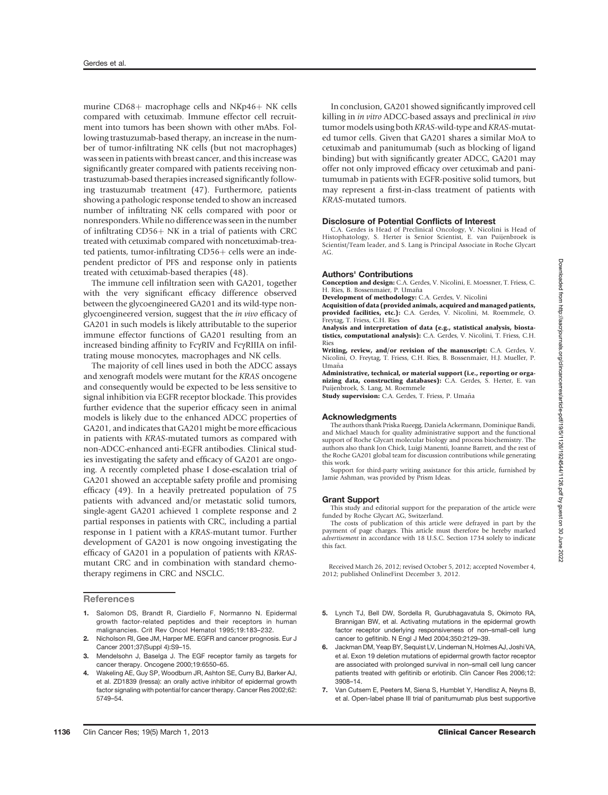murine  $CD68+$  macrophage cells and NKp46+ NK cells compared with cetuximab. Immune effector cell recruitment into tumors has been shown with other mAbs. Following trastuzumab-based therapy, an increase in the number of tumor-infiltrating NK cells (but not macrophages) was seen in patients with breast cancer, and this increase was significantly greater compared with patients receiving nontrastuzumab-based therapies increased significantly following trastuzumab treatment (47). Furthermore, patients showing a pathologic response tended to show an increased number of infiltrating NK cells compared with poor or nonresponders. While no difference was seen in the number of infiltrating  $CD56 + NK$  in a trial of patients with CRC treated with cetuximab compared with noncetuximab-trea $ted$  patients, tumor-infiltrating  $CD56+$  cells were an independent predictor of PFS and response only in patients treated with cetuximab-based therapies (48).

The immune cell infiltration seen with GA201, together with the very significant efficacy difference observed between the glycoengineered GA201 and its wild-type nonglycoengineered version, suggest that the in vivo efficacy of GA201 in such models is likely attributable to the superior immune effector functions of GA201 resulting from an increased binding affinity to FcyRIV and FcyRIIIA on infiltrating mouse monocytes, macrophages and NK cells.

The majority of cell lines used in both the ADCC assays and xenograft models were mutant for the KRAS oncogene and consequently would be expected to be less sensitive to signal inhibition via EGFR receptor blockade. This provides further evidence that the superior efficacy seen in animal models is likely due to the enhanced ADCC properties of GA201, and indicates that GA201 might be more efficacious in patients with KRAS-mutated tumors as compared with non-ADCC-enhanced anti-EGFR antibodies. Clinical studies investigating the safety and efficacy of GA201 are ongoing. A recently completed phase I dose-escalation trial of GA201 showed an acceptable safety profile and promising efficacy (49). In a heavily pretreated population of 75 patients with advanced and/or metastatic solid tumors, single-agent GA201 achieved 1 complete response and 2 partial responses in patients with CRC, including a partial response in 1 patient with a KRAS-mutant tumor. Further development of GA201 is now ongoing investigating the efficacy of GA201 in a population of patients with KRASmutant CRC and in combination with standard chemotherapy regimens in CRC and NSCLC.

**References** 

- 1. Salomon DS, Brandt R, Ciardiello F, Normanno N. Epidermal growth factor-related peptides and their receptors in human malignancies. Crit Rev Oncol Hematol 1995;19:183–232.
- 2. Nicholson RI, Gee JM, Harper ME. EGFR and cancer prognosis. Eur J Cancer 2001;37(Suppl 4):S9–15.
- 3. Mendelsohn J, Baselga J. The EGF receptor family as targets for cancer therapy. Oncogene 2000;19:6550–65.
- 4. Wakeling AE, Guy SP, Woodburn JR, Ashton SE, Curry BJ, Barker AJ, et al. ZD1839 (Iressa): an orally active inhibitor of epidermal growth factor signaling with potential for cancer therapy. Cancer Res 2002;62: 5749–54.

In conclusion, GA201 showed significantly improved cell killing in in vitro ADCC-based assays and preclinical in vivo tumor models using both KRAS-wild-type and KRAS-mutated tumor cells. Given that GA201 shares a similar MoA to cetuximab and panitumumab (such as blocking of ligand binding) but with significantly greater ADCC, GA201 may offer not only improved efficacy over cetuximab and panitumumab in patients with EGFR-positive solid tumors, but may represent a first-in-class treatment of patients with KRAS-mutated tumors.

#### Disclosure of Potential Conflicts of Interest

C.A. Gerdes is Head of Preclinical Oncology, V. Nicolini is Head of Histophatology, S. Herter is Senior Scientist, E. van Puijenbroek is Scientist/Team leader, and S. Lang is Principal Associate in Roche Glycart AG.

#### Authors' Contributions

Conception and design: C.A. Gerdes, V. Nicolini, E. Moessner, T. Friess, C. H. Ries, B. Bossenmaier, P. Umaña

Development of methodology: C.A. Gerdes, V. Nicolini Acquisition of data (provided animals, acquired and managed patients, provided facilities, etc.): C.A. Gerdes, V. Nicolini, M. Roemmele, O. Freytag, T. Friess, C.H. Ries

Analysis and interpretation of data (e.g., statistical analysis, biostatistics, computational analysis): C.A. Gerdes, V. Nicolini, T. Friess, C.H. Ries

Writing, review, and/or revision of the manuscript: C.A. Gerdes, V. Nicolini, O. Freytag, T. Friess, C.H. Ries, B. Bossenmaier, H.J. Mueller, P. Umaña

Administrative, technical, or material support (i.e., reporting or organizing data, constructing databases): C.A. Gerdes, S. Herter, E. van Puijenbroek, S. Lang, M. Roemmele

Study supervision: C.A. Gerdes, T. Friess, P. Umaña

#### Acknowledgments

The authors thank Priska Rueegg, Daniela Ackermann, Dominique Bandi, and Michael Mauch for quality administrative support and the functional support of Roche Glycart molecular biology and process biochemistry. The authors also thank Jon Chick, Luigi Manenti, Joanne Barrett, and the rest of the Roche GA201 global team for discussion contributions while generating this work.

Support for third-party writing assistance for this article, furnished by Jamie Ashman, was provided by Prism Ideas.

#### Grant Support

This study and editorial support for the preparation of the article were funded by Roche Glycart AG, Switzerland.

The costs of publication of this article were defrayed in part by the payment of page charges. This article must therefore be hereby marked advertisement in accordance with 18 U.S.C. Section 1734 solely to indicate this fact.

Received March 26, 2012; revised October 5, 2012; accepted November 4, 2012; published OnlineFirst December 3, 2012.

- 5. Lynch TJ, Bell DW, Sordella R, Gurubhagavatula S, Okimoto RA, Brannigan BW, et al. Activating mutations in the epidermal growth factor receptor underlying responsiveness of non–small-cell lung cancer to gefitinib. N Engl J Med 2004;350:2129–39.
- 6. Jackman DM, Yeap BY, Sequist LV, Lindeman N, Holmes AJ, Joshi VA, et al. Exon 19 deletion mutations of epidermal growth factor receptor are associated with prolonged survival in non–small cell lung cancer patients treated with gefitinib or erlotinib. Clin Cancer Res 2006;12: 3908–14.
- 7. Van Cutsem E, Peeters M, Siena S, Humblet Y, Hendlisz A, Neyns B, et al. Open-label phase III trial of panitumumab plus best supportive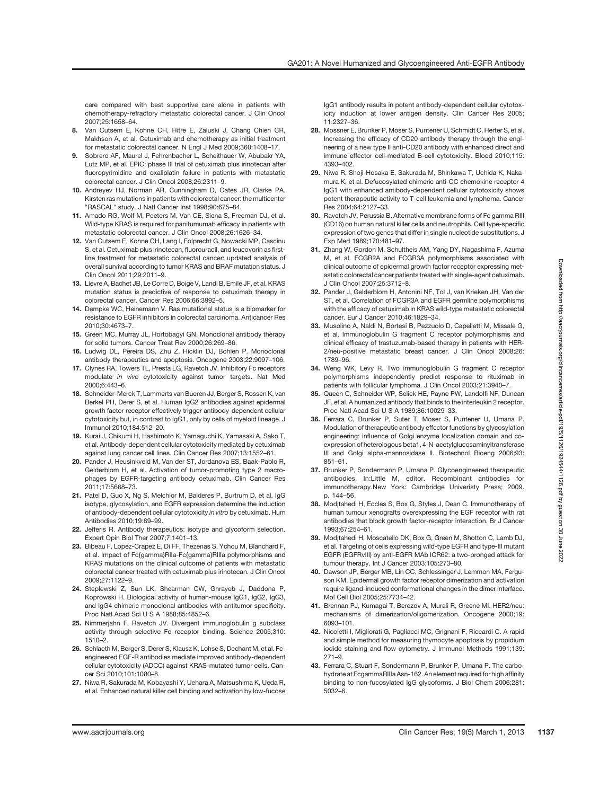care compared with best supportive care alone in patients with chemotherapy-refractory metastatic colorectal cancer. J Clin Oncol 2007;25:1658–64.

- 8. Van Cutsem E, Kohne CH, Hitre E, Zaluski J, Chang Chien CR, Makhson A, et al. Cetuximab and chemotherapy as initial treatment for metastatic colorectal cancer. N Engl J Med 2009;360:1408–17.
- 9. Sobrero AF, Maurel J, Fehrenbacher L, Scheithauer W, Abubakr YA, Lutz MP, et al. EPIC: phase III trial of cetuximab plus irinotecan after fluoropyrimidine and oxaliplatin failure in patients with metastatic colorectal cancer. J Clin Oncol 2008;26:2311–9.
- 10. Andreyev HJ, Norman AR, Cunningham D, Oates JR, Clarke PA. Kirsten ras mutations in patients with colorectal cancer: the multicenter "RASCAL" study. J Natl Cancer Inst 1998;90:675–84.
- 11. Amado RG, Wolf M, Peeters M, Van CE, Siena S, Freeman DJ, et al. Wild-type KRAS is required for panitumumab efficacy in patients with metastatic colorectal cancer. J Clin Oncol 2008;26:1626–34.
- 12. Van Cutsem E, Kohne CH, Lang I, Folprecht G, Nowacki MP, Cascinu S, et al. Cetuximab plus irinotecan, fluorouracil, and leucovorin as firstline treatment for metastatic colorectal cancer: updated analysis of overall survival according to tumor KRAS and BRAF mutation status. J Clin Oncol 2011;29:2011–9.
- 13. Lievre A, Bachet JB, Le Corre D, Boige V, Landi B, Emile JF, et al. KRAS mutation status is predictive of response to cetuximab therapy in colorectal cancer. Cancer Res 2006;66:3992–5.
- 14. Dempke WC, Heinemann V. Ras mutational status is a biomarker for resistance to EGFR inhibitors in colorectal carcinoma. Anticancer Res 2010;30:4673–7.
- 15. Green MC, Murray JL, Hortobagyi GN. Monoclonal antibody therapy for solid tumors. Cancer Treat Rev 2000;26:269–86.
- 16. Ludwig DL, Pereira DS, Zhu Z, Hicklin DJ, Bohlen P. Monoclonal antibody therapeutics and apoptosis. Oncogene 2003;22:9097–106.
- 17. Clynes RA, Towers TL, Presta LG, Ravetch JV. Inhibitory Fc receptors modulate in vivo cytotoxicity against tumor targets. Nat Med 2000;6:443–6.
- 18. Schneider-Merck T, Lammerts van Bueren JJ, Berger S, Rossen K, van Berkel PH, Derer S, et al. Human IgG2 antibodies against epidermal growth factor receptor effectively trigger antibody-dependent cellular cytotoxicity but, in contrast to IgG1, only by cells of myeloid lineage. J Immunol 2010;184:512–20.
- 19. Kurai J, Chikumi H, Hashimoto K, Yamaguchi K, Yamasaki A, Sako T, et al. Antibody-dependent cellular cytotoxicity mediated by cetuximab against lung cancer cell lines. Clin Cancer Res 2007;13:1552–61.
- 20. Pander J. Heusinkveld M. Van der ST. Jordanova ES. Baak-Pablo R. Gelderblom H, et al. Activation of tumor-promoting type 2 macrophages by EGFR-targeting antibody cetuximab. Clin Cancer Res 2011;17:5668–73.
- 21. Patel D, Guo X, Ng S, Melchior M, Balderes P, Burtrum D, et al. IgG isotype, glycosylation, and EGFR expression determine the induction of antibody-dependent cellular cytotoxicity in vitro by cetuximab. Hum Antibodies 2010;19:89–99.
- 22. Jefferis R. Antibody therapeutics: isotype and glycoform selection. Expert Opin Biol Ther 2007;7:1401–13.
- 23. Bibeau F, Lopez-Crapez E, Di FF, Thezenas S, Ychou M, Blanchard F, et al. Impact of Fc{gamma}RIIa-Fc{gamma}RIIIa polymorphisms and KRAS mutations on the clinical outcome of patients with metastatic colorectal cancer treated with cetuximab plus irinotecan. J Clin Oncol 2009;27:1122–9.
- 24. Steplewski Z, Sun LK, Shearman CW, Ghrayeb J, Daddona P, Koprowski H. Biological activity of human-mouse IgG1, IgG2, IgG3, and IgG4 chimeric monoclonal antibodies with antitumor specificity. Proc Natl Acad Sci U S A 1988;85:4852–6.
- 25. Nimmerjahn F, Ravetch JV. Divergent immunoglobulin g subclass activity through selective Fc receptor binding. Science 2005;310: 1510–2.
- 26. Schlaeth M, Berger S, Derer S, Klausz K, Lohse S, Dechant M, et al. Fcengineered EGF-R antibodies mediate improved antibody-dependent cellular cytotoxicity (ADCC) against KRAS-mutated tumor cells. Cancer Sci 2010;101:1080–8.
- 27. Niwa R, Sakurada M, Kobayashi Y, Uehara A, Matsushima K, Ueda R, et al. Enhanced natural killer cell binding and activation by low-fucose

IgG1 antibody results in potent antibody-dependent cellular cytotoxicity induction at lower antigen density. Clin Cancer Res 2005; 11:2327–36.

- 28. Mossner E, Brunker P, Moser S, Puntener U, Schmidt C, Herter S, et al. Increasing the efficacy of CD20 antibody therapy through the engineering of a new type II anti-CD20 antibody with enhanced direct and immune effector cell-mediated B-cell cytotoxicity. Blood 2010;115: 4393–402.
- 29. Niwa R, Shoji-Hosaka E, Sakurada M, Shinkawa T, Uchida K, Nakamura K, et al. Defucosylated chimeric anti-CC chemokine receptor 4 IgG1 with enhanced antibody-dependent cellular cytotoxicity shows potent therapeutic activity to T-cell leukemia and lymphoma. Cancer Res 2004;64:2127–33.
- 30. Ravetch JV, Perussia B. Alternative membrane forms of Fc gamma RIII (CD16) on human natural killer cells and neutrophils. Cell type-specific expression of two genes that differ in single nucleotide substitutions. J Exp Med 1989;170:481–97.
- 31. Zhang W, Gordon M, Schultheis AM, Yang DY, Nagashima F, Azuma M, et al. FCGR2A and FCGR3A polymorphisms associated with clinical outcome of epidermal growth factor receptor expressing metastatic colorectal cancer patients treated with single-agent cetuximab. J Clin Oncol 2007;25:3712–8.
- 32. Pander J, Gelderblom H, Antonini NF, Tol J, van Krieken JH, Van der ST, et al. Correlation of FCGR3A and EGFR germline polymorphisms with the efficacy of cetuximab in KRAS wild-type metastatic colorectal cancer. Eur J Cancer 2010;46:1829–34.
- 33. Musolino A, Naldi N, Bortesi B, Pezzuolo D, Capelletti M, Missale G, et al. Immunoglobulin G fragment C receptor polymorphisms and clinical efficacy of trastuzumab-based therapy in patients with HER-2/neu-positive metastatic breast cancer. J Clin Oncol 2008;26: 1789–96.
- 34. Weng WK, Levy R. Two immunoglobulin G fragment C receptor polymorphisms independently predict response to rituximab in patients with follicular lymphoma. J Clin Oncol 2003;21:3940–7.
- 35. Queen C, Schneider WP, Selick HE, Payne PW, Landolfi NF, Duncan JF, et al. A humanized antibody that binds to the interleukin 2 receptor. Proc Natl Acad Sci U S A 1989;86:10029–33.
- 36. Ferrara C, Brunker P, Suter T, Moser S, Puntener U, Umana P. Modulation of therapeutic antibody effector functions by glycosylation engineering: influence of Golgi enzyme localization domain and coexpression of heterologous beta1, 4-N-acetylglucosaminyltransferase III and Golgi alpha-mannosidase II. Biotechnol Bioeng 2006;93: 851–61.
- 37. Brunker P, Sondermann P, Umana P. Glycoengineered therapeutic antibodies. In:Little M, editor. Recombinant antibodies for immunotherapy.New York: Cambridge Univeristy Press; 2009. p. 144–56.
- 38. Modjtahedi H, Eccles S, Box G, Styles J, Dean C. Immunotherapy of human tumour xenografts overexpressing the EGF receptor with rat antibodies that block growth factor-receptor interaction. Br J Cancer 1993;67:254–61.
- 39. Modjtahedi H, Moscatello DK, Box G, Green M, Shotton C, Lamb DJ, et al. Targeting of cells expressing wild-type EGFR and type-III mutant EGFR (EGFRvIII) by anti-EGFR MAb ICR62: a two-pronged attack for tumour therapy. Int J Cancer 2003;105:273–80.
- 40. Dawson JP, Berger MB, Lin CC, Schlessinger J, Lemmon MA, Ferguson KM. Epidermal growth factor receptor dimerization and activation require ligand-induced conformational changes in the dimer interface. Mol Cell Biol 2005;25:7734–42.
- 41. Brennan PJ, Kumagai T, Berezov A, Murali R, Greene MI. HER2/neu: mechanisms of dimerization/oligomerization. Oncogene 2000;19: 6093–101.
- 42. Nicoletti I, Migliorati G, Pagliacci MC, Grignani F, Riccardi C. A rapid and simple method for measuring thymocyte apoptosis by propidium iodide staining and flow cytometry. J Immunol Methods 1991;139: 271–9.
- 43. Ferrara C, Stuart F, Sondermann P, Brunker P, Umana P. The carbohydrate at FcgammaRIIIa Asn-162. An element required for high affinity binding to non-fucosylated IgG glycoforms. J Biol Chem 2006;281: 5032–6.